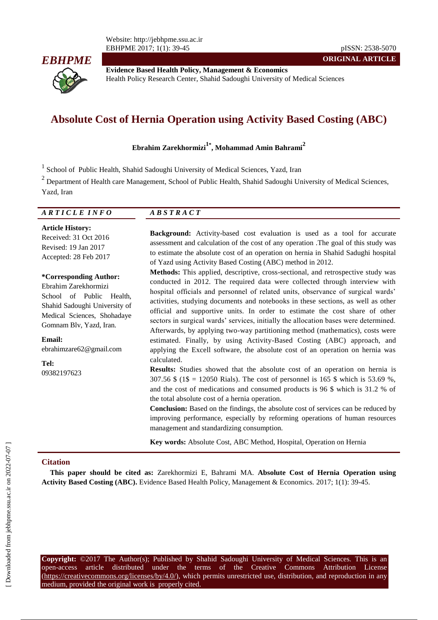Website: http://jebhpme.ssu.ac.ir EBHPME 2017; 1(1): 39-45 pISSN: 2538-5070



**Evidence Based Health Policy, Management & Economics** Health Policy Research Center, Shahid Sadoughi University of Medical Sciences

# **Absolute Cost of Hernia Operation using Activity Based Costing (ABC)**

**Ebrahim Zarekhormizi1\* , Mohammad Amin Bahrami<sup>2</sup>**

<sup>1</sup> School of Public Health, Shahid Sadoughi University of Medical Sciences, Yazd, Iran

 $2$  Department of Health care Management, School of Public Health, Shahid Sadoughi University of Medical Sciences, Yazd, Iran

| <i>ARTICLE INFO</i>          | $\overline{AB}$ S T R A C T                                                      |  |  |
|------------------------------|----------------------------------------------------------------------------------|--|--|
| <b>Article History:</b><br>_ | <b>Background:</b> Activity-based cost evaluation is used as a tool for accurate |  |  |

of Yazd using Activity Based Costing (ABC) method in 2012.

Received: 31 Oct 2016 Revised: 19 Jan 2017 Accepted: 28 Feb 2017

**\*Corresponding Author:** Ebrahim Zarekhormizi School of Public Health, Shahid Sadoughi University of Medical Sciences, Shohadaye Gomnam Blv, Yazd, Iran.

**Email:** ebrahimzare62@gmail.com

**Tel:** 09382197623

**Copyright:** ©2017 The Author(s); Published by Shahid Sadoughi University of Medical Sciences. This is an open-access article distributed under the terms of the Creative Commons Attribution License (https://creativecommons.org/licenses/by/4.0/), which permits unrestricted use, distribution, and reproduction in any medium, provided the original work is properly cited.

**Methods:** This applied, descriptive, cross-sectional, and retrospective study was conducted in 2012. The required data were collected through interview with hospital officials and personnel of related units, observance of surgical wards' activities, studying documents and notebooks in these sections, as well as other official and supportive units. In order to estimate the cost share of other sectors in surgical wards' services, initially the allocation bases were determined. Afterwards, by applying two-way partitioning method (mathematics), costs were estimated. Finally, by using Activity-Based Costing (ABC) approach, and applying the Excell software, the absolute cost of an operation on hernia was calculated. **Results:** Studies showed that the absolute cost of an operation on hernia is 307.56 \$ (1\$ = 12050 Rials). The cost of personnel is 165 \$ which is 53.69 %,

assessment and calculation of the cost of any operation .The goal of this study was to estimate the absolute cost of an operation on hernia in Shahid Sadughi hospital

and the cost of medications and consumed products is 96 \$ which is 31.2 % of the total absolute cost of a hernia operation. **Conclusion:** Based on the findings, the absolute cost of services can be reduced by improving performance, especially by reforming operations of human resources management and standardizing consumption.

**Key words:** Absolute Cost, ABC Method, Hospital, Operation on Hernia

# **Citation**

**This paper should be cited as:** Zarekhormizi E, Bahrami MA. **Absolute Cost of Hernia Operation using Activity Based Costing (ABC).** Evidence Based Health Policy, Management & Economics. 2017; 1(1): 39-45.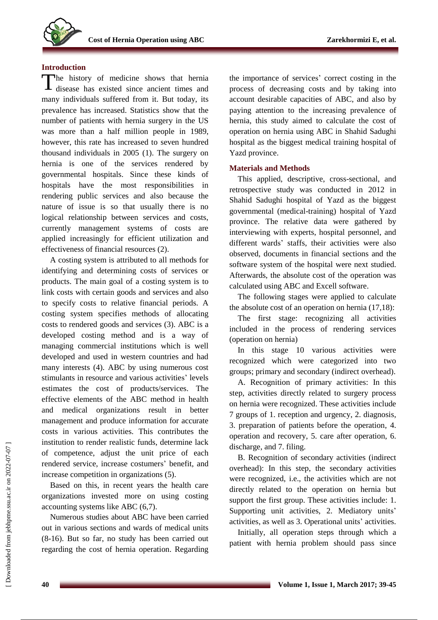# **Introduction**

The history of medicine shows that hernia<br>disease has existed since ancient times and disease has existed since ancient times and many individuals suffered from it. But today, its prevalence has increased. Statistics show that the number of patients with hernia surgery in the US was more than a half million people in 1989, however, this rate has increased to seven hundred thousand individuals in 2005 (1). The surgery on hernia is one of the services rendered by governmental hospitals. Since these kinds of hospitals have the most responsibilities in rendering public services and also because the nature of issue is so that usually there is no logical relationship between services and costs, currently management systems of costs are applied increasingly for efficient utilization and effectiveness of financial resources (2).

A costing system is attributed to all methods for identifying and determining costs of services or products. The main goal of a costing system is to link costs with certain goods and services and also to specify costs to relative financial periods. A costing system specifies methods of allocating costs to rendered goods and services (3). ABC is a developed costing method and is a way of managing commercial institutions which is well developed and used in western countries and had many interests (4). ABC by using numerous cost stimulants in resource and various activities' levels estimates the cost of products/services. The effective elements of the ABC method in health and medical organizations result in better management and produce information for accurate costs in various activities. This contributes the institution to render realistic funds, determine lack of competence, adjust the unit price of each rendered service, increase costumers' benefit, and increase competition in organizations (5).

Based on this, in recent years the health care organizations invested more on using costing accounting systems like ABC (6,7).

Numerous studies about ABC have been carried out in various sections and wards of medical units (8-16). But so far, no study has been carried out regarding the cost of hernia operation. Regarding the importance of services' correct costing in the process of decreasing costs and by taking into account desirable capacities of ABC, and also by paying attention to the increasing prevalence of hernia, this study aimed to calculate the cost of operation on hernia using ABC in Shahid Sadughi hospital as the biggest medical training hospital of Yazd province.

# **Materials and Methods**

This applied, descriptive, cross-sectional, and retrospective study was conducted in 2012 in Shahid Sadughi hospital of Yazd as the biggest governmental (medical-training) hospital of Yazd province. The relative data were gathered by interviewing with experts, hospital personnel, and different wards' staffs, their activities were also observed, documents in financial sections and the software system of the hospital were next studied. Afterwards, the absolute cost of the operation was calculated using ABC and Excell software.

The following stages were applied to calculate the absolute cost of an operation on hernia (17,18):

The first stage: recognizing all activities included in the process of rendering services (operation on hernia)

In this stage 10 various activities were recognized which were categorized into two groups; primary and secondary (indirect overhead).

A. Recognition of primary activities: In this step, activities directly related to surgery process on hernia were recognized. These activities include 7 groups of 1. reception and urgency, 2. diagnosis, 3. preparation of patients before the operation, 4. operation and recovery, 5. care after operation, 6. discharge, and 7. filing.

B. Recognition of secondary activities (indirect overhead): In this step, the secondary activities were recognized, i.e., the activities which are not directly related to the operation on hernia but support the first group. These activities include: 1. Supporting unit activities, 2. Mediatory units' activities, as well as 3. Operational units' activities.

Initially, all operation steps through which a patient with hernia problem should pass since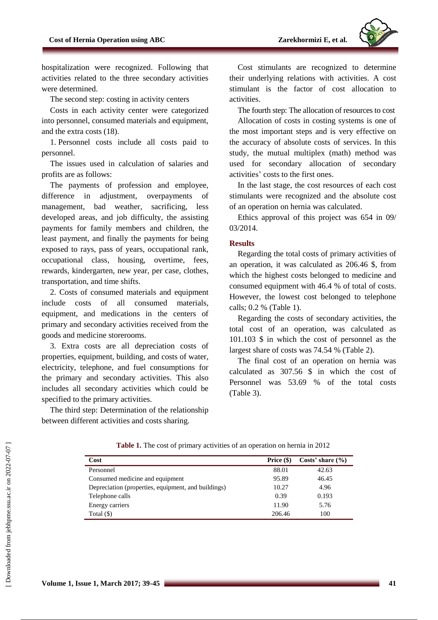

hospitalization were recognized. Following that activities related to the three secondary activities were determined.

The second step: costing in activity centers

Costs in each activity center were categorized into personnel, consumed materials and equipment, and the extra costs (18).

1. Personnel costs include all costs paid to personnel.

The issues used in calculation of salaries and profits are as follows:

The payments of profession and employee, difference in adjustment, overpayments of management, bad weather, sacrificing, less developed areas, and job difficulty, the assisting payments for family members and children, the least payment, and finally the payments for being exposed to rays, pass of years, occupational rank, occupational class, housing, overtime, fees, rewards, kindergarten, new year, per case, clothes, transportation, and time shifts.

2. Costs of consumed materials and equipment include costs of all consumed materials, equipment, and medications in the centers of primary and secondary activities received from the goods and medicine storerooms.

3. Extra costs are all depreciation costs of properties, equipment, building, and costs of water, electricity, telephone, and fuel consumptions for the primary and secondary activities. This also includes all secondary activities which could be specified to the primary activities.

The third step: Determination of the relationship between different activities and costs sharing.

Cost stimulants are recognized to determine their underlying relations with activities. A cost stimulant is the factor of cost allocation to activities.

The fourth step: The allocation of resources to cost

Allocation of costs in costing systems is one of the most important steps and is very effective on the accuracy of absolute costs of services. In this study, the mutual multiplex (math) method was used for secondary allocation of secondary activities' costs to the first ones.

In the last stage, the cost resources of each cost stimulants were recognized and the absolute cost of an operation on hernia was calculated.

Ethics approval of this project was 654 in 09/ 03/2014.

### **Results**

Regarding the total costs of primary activities of an operation, it was calculated as 206.46 \$, from which the highest costs belonged to medicine and consumed equipment with 46.4 % of total of costs. However, the lowest cost belonged to telephone calls; 0.2 % (Table 1).

Regarding the costs of secondary activities, the total cost of an operation, was calculated as 101.103 \$ in which the cost of personnel as the largest share of costs was 74.54 % (Table 2).

The final cost of an operation on hernia was calculated as 307.56 \$ in which the cost of Personnel was 53.69 % of the total costs (Table 3).

| Cost                                                | Price $(\$)$ | Costs' share $(\% )$ |
|-----------------------------------------------------|--------------|----------------------|
| Personnel                                           | 88.01        | 42.63                |
| Consumed medicine and equipment                     | 95.89        | 46.45                |
| Depreciation (properties, equipment, and buildings) | 10.27        | 4.96                 |
| Telephone calls                                     | 0.39         | 0.193                |
| Energy carriers                                     | 11.90        | 5.76                 |
| Total $(\$)$                                        | 206.46       | 100                  |

**Table 1.** The cost of primary activities of an operation on hernia in 2012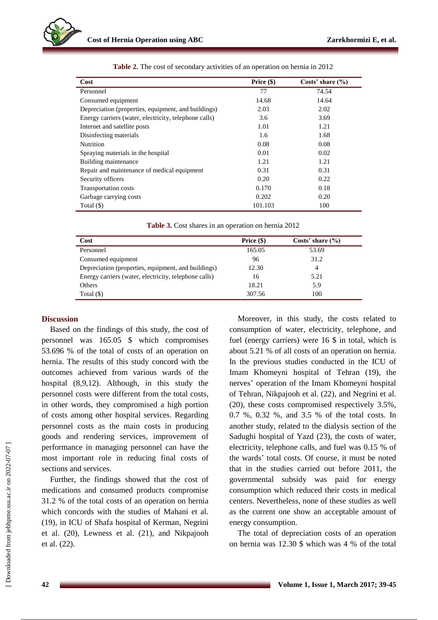

| Cost                                                  | Price $(\$)$ | Costs' share $(\% )$ |
|-------------------------------------------------------|--------------|----------------------|
| Personnel                                             | 77           | 74.54                |
| Consumed equipment                                    | 14.68        | 14.64                |
| Depreciation (properties, equipment, and buildings)   | 2.03         | 2.02                 |
| Energy carriers (water, electricity, telephone calls) | 3.6          | 3.69                 |
| Internet and satellite posts                          | 1.01         | 1.21                 |
| Disinfecting materials                                | 1.6          | 1.68                 |
| <b>Nutrition</b>                                      | 0.08         | 0.08                 |
| Spraying materials in the hospital                    | 0.01         | 0.02                 |
| Building maintenance                                  | 1.21         | 1.21                 |
| Repair and maintenance of medical equipment           | 0.31         | 0.31                 |
| Security officers                                     | 0.20         | 0.22                 |
| <b>Transportation costs</b>                           | 0.170        | 0.18                 |
| Garbage carrying costs                                | 0.202        | 0.20                 |
| Total (\$)                                            | 101.103      | 100                  |

| Table 3. Cost shares in an operation on hernia 2012 |  |  |
|-----------------------------------------------------|--|--|
|-----------------------------------------------------|--|--|

| Cost                                                  | Price $(\$)$ | Costs' share $(\% )$ |
|-------------------------------------------------------|--------------|----------------------|
| Personnel                                             | 165.05       | 53.69                |
| Consumed equipment                                    | 96           | 31.2                 |
| Depreciation (properties, equipment, and buildings)   | 12.30        | 4                    |
| Energy carriers (water, electricity, telephone calls) | 16           | 5.21                 |
| Others                                                | 18.21        | 5.9                  |
| Total $(\$)$                                          | 307.56       | 100                  |

### **Discussion**

Based on the findings of this study, the cost of personnel was 165.05 \$ which compromises 53.696 % of the total of costs of an operation on hernia. The results of this study concord with the outcomes achieved from various wards of the hospital (8,9,12). Although, in this study the personnel costs were different from the total costs, in other words, they compromised a high portion of costs among other hospital services. Regarding personnel costs as the main costs in producing goods and rendering services, improvement of performance in managing personnel can have the most important role in reducing final costs of sections and services.

Further, the findings showed that the cost of medications and consumed products compromise 31.2 % of the total costs of an operation on hernia which concords with the studies of Mahani et al. (19), in ICU of Shafa hospital of Kerman, Negrini et al. (20), Lewness et al. (21), and Nikpajooh et al. (22).

Moreover, in this study, the costs related to consumption of water, electricity, telephone, and fuel (energy carriers) were 16 \$ in total, which is about 5.21 % of all costs of an operation on hernia. In the previous studies conducted in the ICU of Imam Khomeyni hospital of Tehran (19), the nerves' operation of the Imam Khomeyni hospital of Tehran, Nikpajooh et al. (22), and Negrini et al. (20), these costs compromised respectively 3.5%, 0.7 %, 0.32 %, and 3.5 % of the total costs. In another study, related to the dialysis section of the Sadughi hospital of Yazd (23), the costs of water, electricity, telephone calls, and fuel was 0.15 % of the wards' total costs. Of course, it must be noted that in the studies carried out before 2011, the governmental subsidy was paid for energy consumption which reduced their costs in medical centers. Nevertheless, none of these studies as well as the current one show an acceptable amount of energy consumption.

The total of depreciation costs of an operation on hernia was 12.30 \$ which was 4 % of the total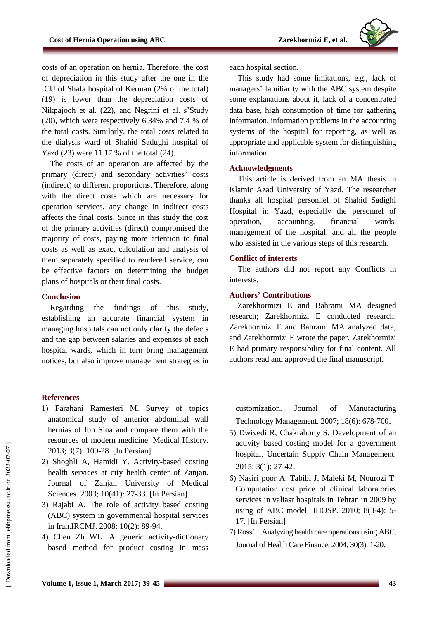

costs of an operation on hernia. Therefore, the cost of depreciation in this study after the one in the ICU of Shafa hospital of Kerman (2% of the total) (19) is lower than the depreciation costs of Nikpajooh et al. (22), and Negrini et al. s'Study (20), which were respectively 6.34% and 7.4 % of the total costs. Similarly, the total costs related to the dialysis ward of Shahid Sadughi hospital of Yazd (23) were 11.17 % of the total (24).

The costs of an operation are affected by the primary (direct) and secondary activities' costs (indirect) to different proportions. Therefore, along with the direct costs which are necessary for operation services, any change in indirect costs affects the final costs. Since in this study the cost of the primary activities (direct) compromised the majority of costs, paying more attention to final costs as well as exact calculation and analysis of them separately specified to rendered service, can be effective factors on determining the budget plans of hospitals or their final costs.

# **Conclusion**

Regarding the findings of this study, establishing an accurate financial system in managing hospitals can not only clarify the defects and the gap between salaries and expenses of each hospital wards, which in turn bring management notices, but also improve management strategies in

#### **References**

- 1) Farahani Ramesteri M. Survey of topics anatomical study of anterior abdominal wall hernias of Ibn Sina and compare them with the resources of modern medicine. Medical History. 2013; 3(7): 109-28. [In Persian]
- 2) Shoghli A, Hamidi Y. Activity-based costing health services at city health center of Zanjan. Journal of Zanjan University of Medical Sciences. 2003; 10(41): 27-33. [In Persian]
- 3) Rajabi A. The role of activity based costing (ABC) system in governmental hospital services in Iran.IRCMJ. 2008; 10(2): 89-94.
- 4) Chen Zh WL. A generic activity-dictionary based method for product costing in mass

each hospital section.

This study had some limitations, e.g., lack of managers' familiarity with the ABC system despite some explanations about it, lack of a concentrated data base, high consumption of time for gathering information, information problems in the accounting systems of the hospital for reporting, as well as appropriate and applicable system for distinguishing information.

#### **Acknowledgments**

This article is derived from an MA thesis in Islamic Azad University of Yazd. The researcher thanks all hospital personnel of Shahid Sadighi Hospital in Yazd, especially the personnel of operation, accounting, financial wards, management of the hospital, and all the people who assisted in the various steps of this research.

### **Conflict of interests**

The authors did not report any Conflicts in interests.

# **Authors' Contributions**

Zarekhormizi E and Bahrami MA designed research; Zarekhormizi E conducted research; Zarekhormizi E and Bahrami MA analyzed data; and Zarekhormizi E wrote the paper. Zarekhormizi E had primary responsibility for final content. All authors read and approved the final manuscript.

customization. Journal of Manufacturing Technology Management. 2007; 18(6): 678-700.

- 5) Dwivedi R, Chakraborty S. Development of an activity based costing model for a government hospital. Uncertain Supply Chain Management. 2015; 3(1): 27-42.
- 6) Nasiri poor A, Tabibi J, Maleki M, Nourozi T. Computation cost price of clinical laboratories services in valiasr hospitals in Tehran in 2009 by using of ABC model. JHOSP. 2010; 8(3-4): 5- 17. [In Persian]
- 7) Ross T. Analyzing health care operations using ABC. Journal of Health Care Finance. 2004; 30(3): 1-20.